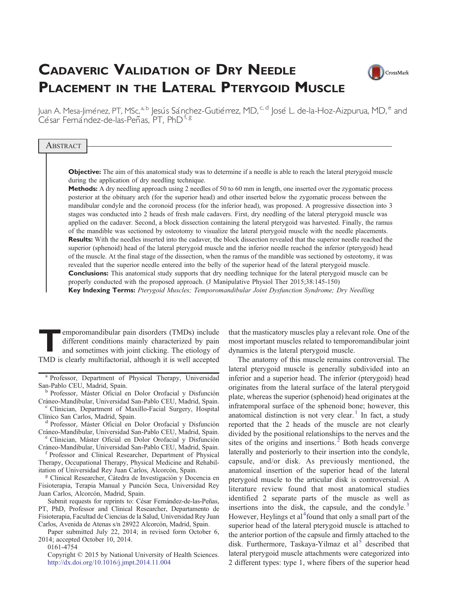# CADAVERIC VALIDATION OF DRY NEEDLE PLACEMENT IN THE LATERAL PTERYGOID MUSCLE



Juan A. Mesa-Jiménez, PT, MSc,<sup>a, b</sup> Jesús Sánchez-Gutiérrez, MD, <sup>c, d</sup> José L. de-la-Hoz-Aizpurua, MD, <sup>e</sup> and César Fernández-de-las-Peñas, PT, PhD<sup>f, g</sup>

#### **ABSTRACT**

**Objective:** The aim of this anatomical study was to determine if a needle is able to reach the lateral pterygoid muscle during the application of dry needling technique.

Methods: A dry needling approach using 2 needles of 50 to 60 mm in length, one inserted over the zygomatic process posterior at the obituary arch (for the superior head) and other inserted below the zygomatic process between the mandibular condyle and the coronoid process (for the inferior head), was proposed. A progressive dissection into 3 stages was conducted into 2 heads of fresh male cadavers. First, dry needling of the lateral pterygoid muscle was applied on the cadaver. Second, a block dissection containing the lateral pterygoid was harvested. Finally, the ramus of the mandible was sectioned by osteotomy to visualize the lateral pterygoid muscle with the needle placements. Results: With the needles inserted into the cadaver, the block dissection revealed that the superior needle reached the superior (sphenoid) head of the lateral pterygoid muscle and the inferior needle reached the inferior (pterygoid) head of the muscle. At the final stage of the dissection, when the ramus of the mandible was sectioned by osteotomy, it was revealed that the superior needle entered into the belly of the superior head of the lateral pterygoid muscle. **Conclusions:** This anatomical study supports that dry needling technique for the lateral pterygoid muscle can be properly conducted with the proposed approach. (J Manipulative Physiol Ther 2015;38:145-150) Key Indexing Terms: Pterygoid Muscles; Temporomandibular Joint Dysfunction Syndrome; Dry Needling

emporomandibular pain disorders (TMDs) include<br>different conditions mainly characterized by pain<br>and sometimes with joint clicking. The etiology of<br>TMD is also untifectorial although it is well accounted different conditions mainly characterized by pain and sometimes with joint clicking. The etiology of TMD is clearly multifactorial, although it is well accepted

Professor, Department of Physical Therapy, Universidad San-Pablo CEU, Madrid, Spain. <sup>b</sup> Professor, Máster Oficial en Dolor Orofacial y Disfunción

Cráneo-Mandibular, Universidad San-Pablo CEU, Madrid, Spain.<br>c Clinician, Department of Maxillo-Facial Surgery, Hospital

Clínico San Carlos, Madrid, Spain. <sup>d</sup> Professor, Máster Oficial en Dolor Orofacial y Disfunción

Cráneo-Mandibular, Universidad San-Pablo CEU, Madrid, Spain.<br><sup>e</sup> Clinician, Máster Oficial en Dolor Orofacial y Disfunción

Cráneo-Mandibular, Universidad San-Pablo CEU, Madrid, Spain. <sup>f</sup> Professor and Clinical Researcher, Department of Physical

Therapy, Occupational Therapy, Physical Medicine and Rehabilitation of Universidad Rey Juan Carlos, Alcorcón, Spain.<br><sup>g</sup> Clinical Researcher, Cátedra de Investigación y Docencia en

Fisioterapia, Terapia Manual y Punción Seca, Universidad Rey Juan Carlos, Alcorcón, Madrid, Spain.

Submit requests for reprints to: César Fernández-de-las-Peñas, PT, PhD, Professor and Clinical Researcher, Departamento de Fisioterapia, Facultad de Ciencias de la Salud, Universidad Rey Juan Carlos, Avenida de Atenas s/n 28922 Alcorcón, Madrid, Spain.

Paper submitted July 22, 2014; in revised form October 6, 2014; accepted October 10, 2014.

0161-4754

Copyright © 2015 by National University of Health Sciences. <http://dx.doi.org/10.1016/j.jmpt.2014.11.004>

that the masticatory muscles play a relevant role. One of the most important muscles related to temporomandibular joint dynamics is the lateral pterygoid muscle.

The anatomy of this muscle remains controversial. The lateral pterygoid muscle is generally subdivided into an inferior and a superior head. The inferior (pterygoid) head originates from the lateral surface of the lateral pterygoid plate, whereas the superior (sphenoid) head originates at the infratemporal surface of the sphenoid bone; however, this anatomical distinction is not very clear[.](#page-4-0)<sup>[1](#page-4-0)</sup> In fact, a study reported that the 2 heads of the muscle are not clearly divided by the positional relationships to the nerves and the sites of the origins and insertions[.](#page-4-0)<sup>[2](#page-4-0)</sup> Both heads converge laterally and posteriorly to their insertion into the condyle, capsule, and/or disk. As previously mentioned, the anatomical insertion of the superior head of the lateral pterygoid muscle to the articular disk is controversial. A literature review found that most anatomical studies identified 2 separate parts of the muscle as well as insertions into the disk, the capsule, and the condyle[.](#page-4-0) $3$ However, Hey[l](#page-4-0)ings et al<sup>[4](#page-4-0)</sup>found that only a small part of the superior head of the lateral pterygoid muscle is attached to the anterior portion of the capsule and firmly attached to the disk. Furthermore, Taskaya-Yi[l](#page-4-0)maz et al<sup>[5](#page-4-0)</sup> described that lateral pterygoid muscle attachments were categorized into 2 different types: type 1, where fibers of the superior head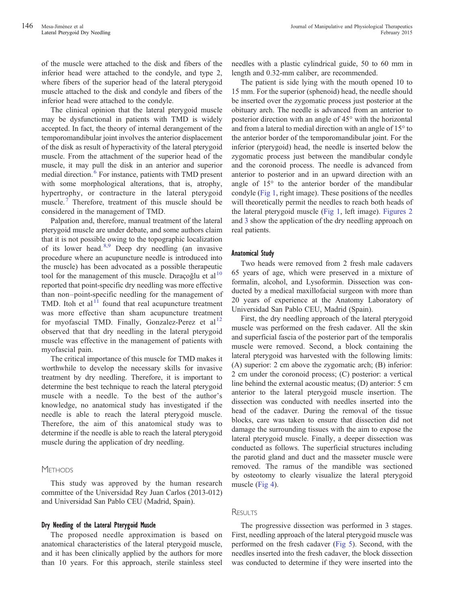of the muscle were attached to the disk and fibers of the inferior head were attached to the condyle, and type 2, where fibers of the superior head of the lateral pterygoid muscle attached to the disk and condyle and fibers of the inferior head were attached to the condyle.

The clinical opinion that the lateral pterygoid muscle may be dysfunctional in patients with TMD is widely accepted. In fact, the theory of internal derangement of the temporomandibular joint involves the anterior displacement of the disk as result of hyperactivity of the lateral pterygoid muscle. From the attachment of the superior head of the muscle, it may pull the disk in an anterior and superior medial direction[.](#page-4-0)<sup>[6](#page-4-0)</sup> For instance, patients with TMD present with some morphological alterations, that is, atrophy, hypertrophy, or contracture in the lateral pterygoid muscle[.](#page-4-0)<sup>[7](#page-4-0)</sup> Therefore, treatment of this muscle should be considered in the management of TMD.

Palpation and, therefore, manual treatment of the lateral pterygoid muscle are under debate, and some authors claim that it is not possible owing to the topographic localization of its lower head[.](#page-4-0)  $8,9$  Deep dry needling (an invasive procedure where an acupuncture needle is introduced into the muscle) has been advocated as a possible therapeutic too[l](#page-4-0) for the management of this muscle. Diracoğlu et al<sup>[10](#page-4-0)</sup> reported that point-specific dry needling was more effective than non–point-specific needling for the management of TMD. Itoh et a[l](#page-5-0) $1^1$  found that real acupuncture treatment was more effective than sham acupuncture treatment for myofascia[l](#page-5-0) TMD. Finally, Gonzalez-Perez et al<sup>[12](#page-5-0)</sup> observed that that dry needling in the lateral pterygoid muscle was effective in the management of patients with myofascial pain.

The critical importance of this muscle for TMD makes it worthwhile to develop the necessary skills for invasive treatment by dry needling. Therefore, it is important to determine the best technique to reach the lateral pterygoid muscle with a needle. To the best of the author's knowledge, no anatomical study has investigated if the needle is able to reach the lateral pterygoid muscle. Therefore, the aim of this anatomical study was to determine if the needle is able to reach the lateral pterygoid muscle during the application of dry needling.

# **METHODS**

This study was approved by the human research committee of the Universidad Rey Juan Carlos (2013-012) and Universidad San Pablo CEU (Madrid, Spain).

# Dry Needling of the Lateral Pterygoid Muscle

The proposed needle approximation is based on anatomical characteristics of the lateral pterygoid muscle, and it has been clinically applied by the authors for more than 10 years. For this approach, sterile stainless steel needles with a plastic cylindrical guide, 50 to 60 mm in length and 0.32-mm caliber, are recommended.

The patient is side lying with the mouth opened 10 to 15 mm. For the superior (sphenoid) head, the needle should be inserted over the zygomatic process just posterior at the obituary arch. The needle is advanced from an anterior to posterior direction with an angle of 45° with the horizontal and from a lateral to medial direction with an angle of 15° to the anterior border of the temporomandibular joint. For the inferior (pterygoid) head, the needle is inserted below the zygomatic process just between the mandibular condyle and the coronoid process. The needle is advanced from anterior to posterior and in an upward direction with an angle of 15° to the anterior border of the mandibular condyle ([Fig 1](#page-2-0), right image). These positions of the needles will theoretically permit the needles to reach both heads of the lateral pterygoid muscle ([Fig 1,](#page-2-0) left image). [Figures 2](#page-2-0) and [3](#page-2-0) show the application of the dry needling approach on real patients.

#### Anatomical Study

Two heads were removed from 2 fresh male cadavers 65 years of age, which were preserved in a mixture of formalin, alcohol, and Lysoformin. Dissection was conducted by a medical maxillofacial surgeon with more than 20 years of experience at the Anatomy Laboratory of Universidad San Pablo CEU, Madrid (Spain).

First, the dry needling approach of the lateral pterygoid muscle was performed on the fresh cadaver. All the skin and superficial fascia of the posterior part of the temporalis muscle were removed. Second, a block containing the lateral pterygoid was harvested with the following limits: (A) superior: 2 cm above the zygomatic arch; (B) inferior: 2 cm under the coronoid process; (C) posterior: a vertical line behind the external acoustic meatus; (D) anterior: 5 cm anterior to the lateral pterygoid muscle insertion. The dissection was conducted with needles inserted into the head of the cadaver. During the removal of the tissue blocks, care was taken to ensure that dissection did not damage the surrounding tissues with the aim to expose the lateral pterygoid muscle. Finally, a deeper dissection was conducted as follows. The superficial structures including the parotid gland and duct and the masseter muscle were removed. The ramus of the mandible was sectioned by osteotomy to clearly visualize the lateral pterygoid muscle ([Fig 4\)](#page-3-0).

# **RESULTS**

The progressive dissection was performed in 3 stages. First, needling approach of the lateral pterygoid muscle was performed on the fresh cadaver [\(Fig 5](#page-3-0)). Second, with the needles inserted into the fresh cadaver, the block dissection was conducted to determine if they were inserted into the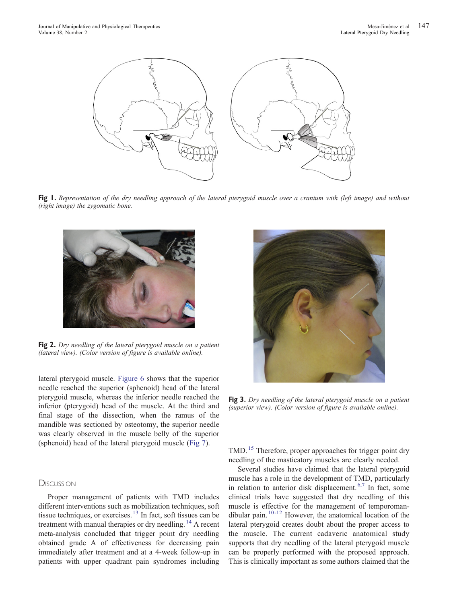<span id="page-2-0"></span>

Fig 1. Representation of the dry needling approach of the lateral pterygoid muscle over a cranium with (left image) and without (right image) the zygomatic bone.



Fig 2. Dry needling of the lateral pterygoid muscle on a patient (lateral view). (Color version of figure is available online).

lateral pterygoid muscle. [Figure 6](#page-3-0) shows that the superior needle reached the superior (sphenoid) head of the lateral pterygoid muscle, whereas the inferior needle reached the inferior (pterygoid) head of the muscle. At the third and final stage of the dissection, when the ramus of the mandible was sectioned by osteotomy, the superior needle was clearly observed in the muscle belly of the superior (sphenoid) head of the lateral pterygoid muscle ([Fig 7\)](#page-3-0).

# **DISCUSSION**

Proper management of patients with TMD includes different interventions such as mobilization techniques, soft tissue techniques, or exercises[.](#page-5-0) $13$  In fact, soft tissues can be treatment with manual therapies or dry needling[.](#page-5-0)<sup>[14](#page-5-0)</sup> A recent meta-analysis concluded that trigger point dry needling obtained grade A of effectiveness for decreasing pain immediately after treatment and at a 4-week follow-up in patients with upper quadrant pain syndromes including



Fig 3. Dry needling of the lateral pterygoid muscle on a patient (superior view). (Color version of figure is available online).

TMD[.](#page-5-0)<sup>[15](#page-5-0)</sup> Therefore, proper approaches for trigger point dry needling of the masticatory muscles are clearly needed.

Several studies have claimed that the lateral pterygoid muscle has a role in the development of TMD, particularly in relation to anterior disk displacement[.](#page-4-0)<sup>[6,7](#page-4-0)</sup> In fact, some clinical trials have suggested that dry needling of this muscle is effective for the management of temporoman-dibular pain[.](#page-4-0)  $10 - 12$  However, the anatomical location of the lateral pterygoid creates doubt about the proper access to the muscle. The current cadaveric anatomical study supports that dry needling of the lateral pterygoid muscle can be properly performed with the proposed approach. This is clinically important as some authors claimed that the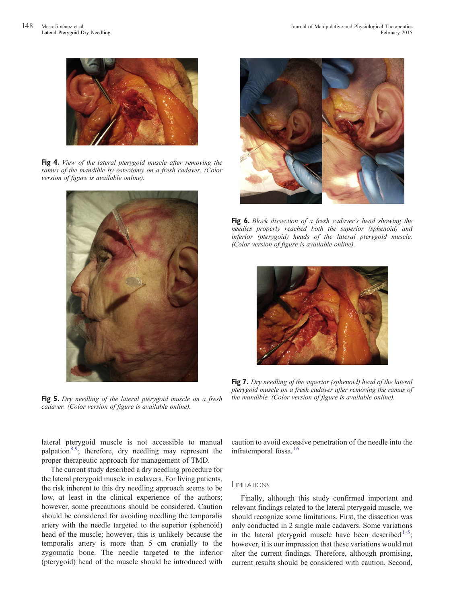<span id="page-3-0"></span>

Fig 4. View of the lateral pterygoid muscle after removing the ramus of the mandible by osteotomy on a fresh cadaver. (Color version of figure is available online).



Fig 5. Dry needling of the lateral pterygoid muscle on a fresh cadaver. (Color version of figure is available online).



**Fig 6.** Block dissection of a fresh cadaver's head showing the needles properly reached both the superior (sphenoid) and inferior (pterygoid) heads of the lateral pterygoid muscle. (Color version of figure is available online).



Fig 7. Dry needling of the superior (sphenoid) head of the lateral pterygoid muscle on a fresh cadaver after removing the ramus of the mandible. (Color version of figure is available online).

lateral pterygoid muscle is not accessible to manual palpatio[n](#page-4-0)<sup>[8,9](#page-4-0)</sup>; therefore, dry needling may represent the proper therapeutic approach for management of TMD.

The current study described a dry needling procedure for the lateral pterygoid muscle in cadavers. For living patients, the risk inherent to this dry needling approach seems to be low, at least in the clinical experience of the authors; however, some precautions should be considered. Caution should be considered for avoiding needling the temporalis artery with the needle targeted to the superior (sphenoid) head of the muscle; however, this is unlikely because the temporalis artery is more than 5 cm cranially to the zygomatic bone. The needle targeted to the inferior (pterygoid) head of the muscle should be introduced with

caution to avoid excessive penetration of the needle into the infratemporal fossa[.](#page-5-0)<sup>[16](#page-5-0)</sup>

#### LIMITATIONS

Finally, although this study confirmed important and relevant findings related to the lateral pterygoid muscle, we should recognize some limitations. First, the dissection was only conducted in 2 single male cadavers. Some variations in the lateral pterygoi[d](#page-4-0) muscle have been described<sup>1-5</sup>; however, it is our impression that these variations would not alter the current findings. Therefore, although promising, current results should be considered with caution. Second,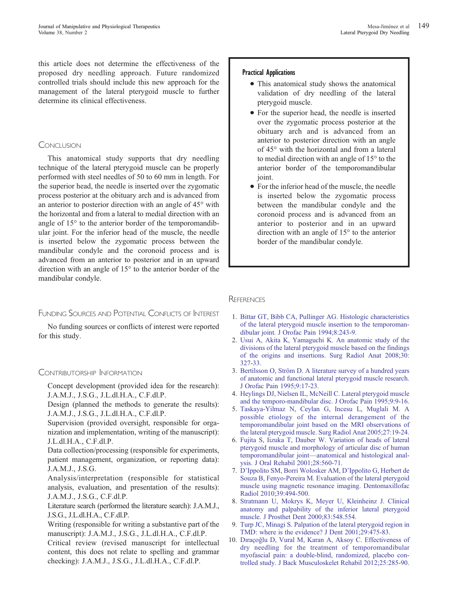<span id="page-4-0"></span>this article does not determine the effectiveness of the proposed dry needling approach. Future randomized controlled trials should include this new approach for the management of the lateral pterygoid muscle to further determine its clinical effectiveness.

# **CONCLUSION**

This anatomical study supports that dry needling technique of the lateral pterygoid muscle can be properly performed with steel needles of 50 to 60 mm in length. For the superior head, the needle is inserted over the zygomatic process posterior at the obituary arch and is advanced from an anterior to posterior direction with an angle of 45° with the horizontal and from a lateral to medial direction with an angle of 15° to the anterior border of the temporomandibular joint. For the inferior head of the muscle, the needle is inserted below the zygomatic process between the mandibular condyle and the coronoid process and is advanced from an anterior to posterior and in an upward direction with an angle of 15° to the anterior border of the mandibular condyle.

# FUNDING SOURCES AND POTENTIAL CONFLICTS OF INTEREST

No funding sources or conflicts of interest were reported for this study.

# CONTRIBUTORSHIP INFORMATION

Concept development (provided idea for the research): J.A.M.J., J.S.G., J.L.dl.H.A., C.F.dl.P.

Design (planned the methods to generate the results): J.A.M.J., J.S.G., J.L.dl.H.A., C.F.dl.P.

Supervision (provided oversight, responsible for organization and implementation, writing of the manuscript): J.L.dl.H.A., C.F.dl.P.

Data collection/processing (responsible for experiments, patient management, organization, or reporting data): J.A.M.J., J.S.G.

Analysis/interpretation (responsible for statistical analysis, evaluation, and presentation of the results): J.A.M.J., J.S.G., C.F.dl.P.

Literature search (performed the literature search): J.A.M.J., J.S.G., J.L.dl.H.A., C.F.dl.P.

Writing (responsible for writing a substantive part of the manuscript): J.A.M.J., J.S.G., J.L.dl.H.A., C.F.dl.P.

Critical review (revised manuscript for intellectual content, this does not relate to spelling and grammar checking): J.A.M.J., J.S.G., J.L.dl.H.A., C.F.dl.P.

#### Practical Applications

- This anatomical study shows the anatomical validation of dry needling of the lateral pterygoid muscle.
- For the superior head, the needle is inserted over the zygomatic process posterior at the obituary arch and is advanced from an anterior to posterior direction with an angle of 45° with the horizontal and from a lateral to medial direction with an angle of 15° to the anterior border of the temporomandibular joint.
- For the inferior head of the muscle, the needle is inserted below the zygomatic process between the mandibular condyle and the coronoid process and is advanced from an anterior to posterior and in an upward direction with an angle of 15° to the anterior border of the mandibular condyle.

#### **REFERENCES**

- 1. [Bittar GT, Bibb CA, Pullinger AG. Histologic characteristics](http://refhub.elsevier.com//rf0005) [of the lateral pterygoid muscle insertion to the temporoman](http://refhub.elsevier.com//rf0005)[dibular joint. J Orofac Pain 1994;8:243-9.](http://refhub.elsevier.com//rf0005)
- 2. [Usui A, Akita K, Yamaguchi K. An anatomic study of the](http://refhub.elsevier.com//rf0010) [divisions of the lateral pterygoid muscle based on the findings](http://refhub.elsevier.com//rf0010) [of the origins and insertions. Surg Radiol Anat 2008;30:](http://refhub.elsevier.com//rf0010) [327-33.](http://refhub.elsevier.com//rf0010)
- 3. [Bertilsson O, Ström D. A literature survey of a hundred years](http://refhub.elsevier.com//rf0015) [of anatomic and functional lateral pterygoid muscle research.](http://refhub.elsevier.com//rf0015) [J Orofac Pain 1995;9:17-23.](http://refhub.elsevier.com//rf0015)
- 4. [Heylings DJ, Nielsen IL, McNeill C. Lateral pterygoid muscle](http://refhub.elsevier.com//rf0020) [and the temporo-mandibular disc. J Orofac Pain 1995;9:9-16.](http://refhub.elsevier.com//rf0020)
- 5. [Taskaya-Yilmaz N, Ceylan G, Incesu L, Muglali M. A](http://refhub.elsevier.com//rf0025) [possible etiology of the internal derangement of the](http://refhub.elsevier.com//rf0025) [temporomandibular joint based on the MRI observations of](http://refhub.elsevier.com//rf0025) [the lateral pterygoid muscle. Surg Radiol Anat 2005;27:19-24.](http://refhub.elsevier.com//rf0025)
- 6. [Fujita S, Iizuka T, Dauber W. Variation of heads of lateral](http://refhub.elsevier.com//rf0030) [pterygoid muscle and morphology of articular disc of human](http://refhub.elsevier.com//rf0030) temporomandibular joint—[anatomical and histological anal](http://refhub.elsevier.com//rf0030)[ysis. J Oral Rehabil 2001;28:560-71.](http://refhub.elsevier.com//rf0030)
- 7. [D'Ippolito SM, Borri Wolosker AM, D'Ippolito G, Herbert de](http://refhub.elsevier.com//rf0035) [Souza B, Fenyo-Pereira M. Evaluation of the lateral pterygoid](http://refhub.elsevier.com//rf0035) [muscle using magnetic resonance imaging. Dentomaxillofac](http://refhub.elsevier.com//rf0035) [Radiol 2010;39:494-500.](http://refhub.elsevier.com//rf0035)
- 8. [Stratmann U, Mokrys K, Meyer U, Kleinheinz J. Clinical](http://refhub.elsevier.com//rf0040) [anatomy and palpability of the inferior lateral pterygoid](http://refhub.elsevier.com//rf0040) [muscle. J Prosthet Dent 2000;83:548.554.](http://refhub.elsevier.com//rf0040)
- 9. [Turp JC, Minagi S. Palpation of the lateral pterygoid region in](http://refhub.elsevier.com//rf0045) [TMD: where is the evidence? J Dent 2001;29:475-83.](http://refhub.elsevier.com//rf0045)
- 10. Dıraçoğ[lu D, Vural M, Karan A, Aksoy C. Effectiveness of](http://refhub.elsevier.com//rf0050) [dry needling for the treatment of temporomandibular](http://refhub.elsevier.com//rf0050) [myofascial pain: a double-blind, randomized, placebo con](http://refhub.elsevier.com//rf0050)[trolled study. J Back Musculoskelet Rehabil 2012;25:285-90.](http://refhub.elsevier.com//rf0050)